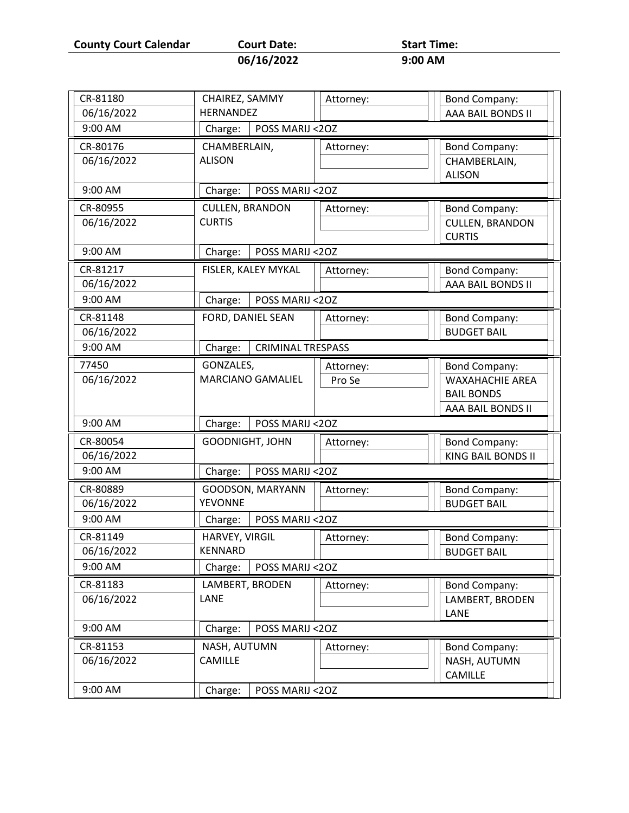**County Court Calendar Court Date:** Start Time:<br>06/16/2022 9:00 AM

| Court Date: |  |
|-------------|--|
| 06/16/2022  |  |

| CR-81180   |                                    |                          |           |                                         |
|------------|------------------------------------|--------------------------|-----------|-----------------------------------------|
|            | CHAIREZ, SAMMY<br><b>HERNANDEZ</b> |                          | Attorney: | <b>Bond Company:</b>                    |
| 06/16/2022 |                                    |                          |           | AAA BAIL BONDS II                       |
| 9:00 AM    | Charge:                            | POSS MARIJ <20Z          |           |                                         |
| CR-80176   | CHAMBERLAIN,                       |                          | Attorney: | <b>Bond Company:</b>                    |
| 06/16/2022 | <b>ALISON</b>                      |                          |           | CHAMBERLAIN,                            |
|            |                                    |                          |           | <b>ALISON</b>                           |
| 9:00 AM    | Charge:                            | POSS MARIJ <20Z          |           |                                         |
| CR-80955   | <b>CULLEN, BRANDON</b>             |                          | Attorney: | <b>Bond Company:</b>                    |
| 06/16/2022 | <b>CURTIS</b>                      |                          |           | <b>CULLEN, BRANDON</b>                  |
|            |                                    |                          |           | <b>CURTIS</b>                           |
| 9:00 AM    | Charge:                            | POSS MARIJ <20Z          |           |                                         |
| CR-81217   |                                    | FISLER, KALEY MYKAL      | Attorney: | <b>Bond Company:</b>                    |
| 06/16/2022 |                                    |                          |           | AAA BAIL BONDS II                       |
| 9:00 AM    | Charge:                            | POSS MARIJ <20Z          |           |                                         |
| CR-81148   | FORD, DANIEL SEAN                  |                          | Attorney: | <b>Bond Company:</b>                    |
| 06/16/2022 |                                    |                          |           | <b>BUDGET BAIL</b>                      |
| 9:00 AM    | Charge:                            | <b>CRIMINAL TRESPASS</b> |           |                                         |
|            |                                    |                          |           |                                         |
| 77450      | GONZALES,                          |                          | Attorney: | <b>Bond Company:</b>                    |
| 06/16/2022 |                                    | MARCIANO GAMALIEL        | Pro Se    | <b>WAXAHACHIE AREA</b>                  |
|            |                                    |                          |           | <b>BAIL BONDS</b>                       |
|            |                                    |                          |           | AAA BAIL BONDS II                       |
| 9:00 AM    | Charge:                            | POSS MARIJ <20Z          |           |                                         |
| CR-80054   | <b>GOODNIGHT, JOHN</b>             |                          | Attorney: | <b>Bond Company:</b>                    |
| 06/16/2022 |                                    |                          |           | KING BAIL BONDS II                      |
| 9:00 AM    | Charge:                            | POSS MARIJ <20Z          |           |                                         |
| CR-80889   |                                    | GOODSON, MARYANN         | Attorney: | <b>Bond Company:</b>                    |
| 06/16/2022 | <b>YEVONNE</b>                     |                          |           | <b>BUDGET BAIL</b>                      |
| 9:00 AM    | Charge:                            | POSS MARIJ <20Z          |           |                                         |
| CR-81149   | HARVEY, VIRGIL                     |                          | Attorney: | <b>Bond Company:</b>                    |
| 06/16/2022 | KENNARD                            |                          |           | <b>BUDGET BAIL</b>                      |
| 9:00 AM    | Charge:                            | POSS MARIJ <20Z          |           |                                         |
| CR-81183   |                                    |                          |           |                                         |
| 06/16/2022 | LAMBERT, BRODEN<br>LANE            |                          | Attorney: | <b>Bond Company:</b><br>LAMBERT, BRODEN |
|            |                                    |                          |           | LANE                                    |
| 9:00 AM    |                                    |                          |           |                                         |
|            | Charge:                            | POSS MARIJ <20Z          |           |                                         |
| CR-81153   | NASH, AUTUMN                       |                          | Attorney: | <b>Bond Company:</b>                    |
| 06/16/2022 | <b>CAMILLE</b>                     |                          |           | NASH, AUTUMN                            |
|            |                                    |                          |           | CAMILLE                                 |
| 9:00 AM    | Charge:                            | POSS MARIJ <20Z          |           |                                         |